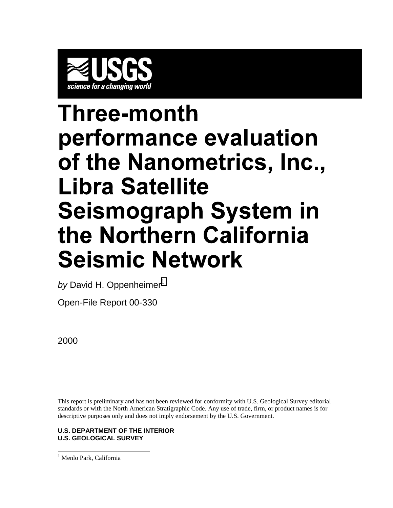

# Three-month performance evaluation of the Nanometrics, Inc., Libra Satellite **Seismograph System in** the Northern California **Seismic Network**

by David H. Oppenheimer<sup>1</sup>

Open-File Report 00-330

2000

This report is preliminary and has not been reviewed for conformity with U.S. Geological Survey editorial standards or with the North American Stratigraphic Code. Any use of trade, firm, or product names is for descriptive purposes only and does not imply endorsement by the U.S. Government.

#### **U.S. DEPARTMENT OF THE INTERIOR U.S. GEOLOGICAL SURVEY**

 $\overline{a}$ <sup>1</sup> Menlo Park, California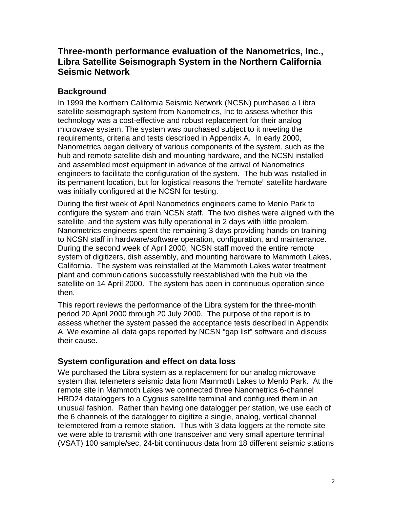# **Three-month performance evaluation of the Nanometrics, Inc., Libra Satellite Seismograph System in the Northern California Seismic Network**

# **Background**

In 1999 the Northern California Seismic Network (NCSN) purchased a Libra satellite seismograph system from Nanometrics, Inc to assess whether this technology was a cost-effective and robust replacement for their analog microwave system. The system was purchased subject to it meeting the requirements, criteria and tests described in Appendix A. In early 2000, Nanometrics began delivery of various components of the system, such as the hub and remote satellite dish and mounting hardware, and the NCSN installed and assembled most equipment in advance of the arrival of Nanometrics engineers to facilitate the configuration of the system. The hub was installed in its permanent location, but for logistical reasons the "remote" satellite hardware was initially configured at the NCSN for testing.

During the first week of April Nanometrics engineers came to Menlo Park to configure the system and train NCSN staff. The two dishes were aligned with the satellite, and the system was fully operational in 2 days with little problem. Nanometrics engineers spent the remaining 3 days providing hands-on training to NCSN staff in hardware/software operation, configuration, and maintenance. During the second week of April 2000, NCSN staff moved the entire remote system of digitizers, dish assembly, and mounting hardware to Mammoth Lakes, California. The system was reinstalled at the Mammoth Lakes water treatment plant and communications successfully reestablished with the hub via the satellite on 14 April 2000. The system has been in continuous operation since then.

This report reviews the performance of the Libra system for the three-month period 20 April 2000 through 20 July 2000. The purpose of the report is to assess whether the system passed the acceptance tests described in Appendix A. We examine all data gaps reported by NCSN "gap list" software and discuss their cause.

# **System configuration and effect on data loss**

We purchased the Libra system as a replacement for our analog microwave system that telemeters seismic data from Mammoth Lakes to Menlo Park. At the remote site in Mammoth Lakes we connected three Nanometrics 6-channel HRD24 dataloggers to a Cygnus satellite terminal and configured them in an unusual fashion. Rather than having one datalogger per station, we use each of the 6 channels of the datalogger to digitize a single, analog, vertical channel telemetered from a remote station. Thus with 3 data loggers at the remote site we were able to transmit with one transceiver and very small aperture terminal (VSAT) 100 sample/sec, 24-bit continuous data from 18 different seismic stations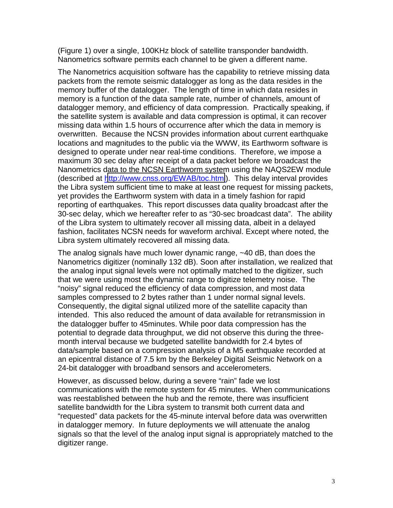(Figure 1) over a single, 100KHz block of satellite transponder bandwidth. Nanometrics software permits each channel to be given a different name.

The Nanometrics acquisition software has the capability to retrieve missing data packets from the remote seismic datalogger as long as the data resides in the memory buffer of the datalogger. The length of time in which data resides in memory is a function of the data sample rate, number of channels, amount of datalogger memory, and efficiency of data compression. Practically speaking, if the satellite system is available and data compression is optimal, it can recover missing data within 1.5 hours of occurrence after which the data in memory is overwritten. Because the NCSN provides information about current earthquake locations and magnitudes to the public via the WWW, its Earthworm software is designed to operate under near real-time conditions. Therefore, we impose a maximum 30 sec delay after receipt of a data packet before we broadcast the Nanometrics data to the NCSN Earthworm system using the NAQS2EW module (described at <http://www.cnss.org/EWAB/toc.html>). This delay interval provides the Libra system sufficient time to make at least one request for missing packets, yet provides the Earthworm system with data in a timely fashion for rapid reporting of earthquakes. This report discusses data quality broadcast after the 30-sec delay, which we hereafter refer to as "30-sec broadcast data". The ability of the Libra system to ultimately recover all missing data, albeit in a delayed fashion, facilitates NCSN needs for waveform archival. Except where noted, the Libra system ultimately recovered all missing data.

The analog signals have much lower dynamic range, ~40 dB, than does the Nanometrics digitizer (nominally 132 dB). Soon after installation, we realized that the analog input signal levels were not optimally matched to the digitizer, such that we were using most the dynamic range to digitize telemetry noise. The "noisy" signal reduced the efficiency of data compression, and most data samples compressed to 2 bytes rather than 1 under normal signal levels. Consequently, the digital signal utilized more of the satellite capacity than intended. This also reduced the amount of data available for retransmission in the datalogger buffer to 45minutes. While poor data compression has the potential to degrade data throughput, we did not observe this during the threemonth interval because we budgeted satellite bandwidth for 2.4 bytes of data/sample based on a compression analysis of a M5 earthquake recorded at an epicentral distance of 7.5 km by the Berkeley Digital Seismic Network on a 24-bit datalogger with broadband sensors and accelerometers.

However, as discussed below, during a severe "rain" fade we lost communications with the remote system for 45 minutes. When communications was reestablished between the hub and the remote, there was insufficient satellite bandwidth for the Libra system to transmit both current data and "requested" data packets for the 45-minute interval before data was overwritten in datalogger memory. In future deployments we will attenuate the analog signals so that the level of the analog input signal is appropriately matched to the digitizer range.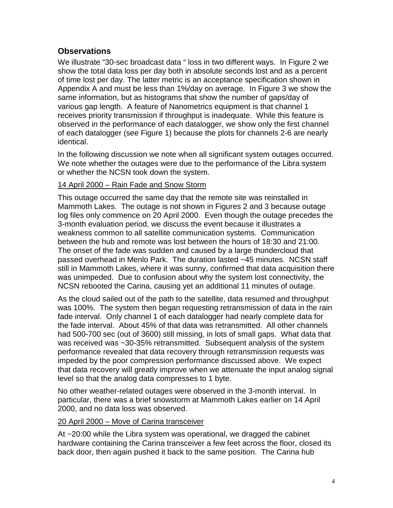## **Observations**

We illustrate "30-sec broadcast data " loss in two different ways. In Figure 2 we show the total data loss per day both in absolute seconds lost and as a percent of time lost per day. The latter metric is an acceptance specification shown in Appendix A and must be less than 1%/day on average. In Figure 3 we show the same information, but as histograms that show the number of gaps/day of various gap length. A feature of Nanometrics equipment is that channel 1 receives priority transmission if throughput is inadequate. While this feature is observed in the performance of each datalogger, we show only the first channel of each datalogger (see Figure 1) because the plots for channels 2-6 are nearly identical.

In the following discussion we note when all significant system outages occurred. We note whether the outages were due to the performance of the Libra system or whether the NCSN took down the system.

### 14 April 2000 – Rain Fade and Snow Storm

This outage occurred the same day that the remote site was reinstalled in Mammoth Lakes. The outage is not shown in Figures 2 and 3 because outage log files only commence on 20 April 2000. Even though the outage precedes the 3-month evaluation period, we discuss the event because it illustrates a weakness common to all satellite communication systems. Communication between the hub and remote was lost between the hours of 18:30 and 21:00. The onset of the fade was sudden and caused by a large thundercloud that passed overhead in Menlo Park. The duration lasted ~45 minutes. NCSN staff still in Mammoth Lakes, where it was sunny, confirmed that data acquisition there was unimpeded. Due to confusion about why the system lost connectivity, the NCSN rebooted the Carina, causing yet an additional 11 minutes of outage.

As the cloud sailed out of the path to the satellite, data resumed and throughput was 100%. The system then began requesting retransmission of data in the rain fade interval. Only channel 1 of each datalogger had nearly complete data for the fade interval. About 45% of that data was retransmitted. All other channels had 500-700 sec (out of 3600) still missing, in lots of small gaps. What data that was received was ~30-35% retransmitted. Subsequent analysis of the system performance revealed that data recovery through retransmission requests was impeded by the poor compression performance discussed above. We expect that data recovery will greatly improve when we attenuate the input analog signal level so that the analog data compresses to 1 byte.

No other weather-related outages were observed in the 3-month interval. In particular, there was a brief snowstorm at Mammoth Lakes earlier on 14 April 2000, and no data loss was observed.

#### 20 April 2000 – Move of Carina transceiver

At ~20:00 while the Libra system was operational, we dragged the cabinet hardware containing the Carina transceiver a few feet across the floor, closed its back door, then again pushed it back to the same position. The Carina hub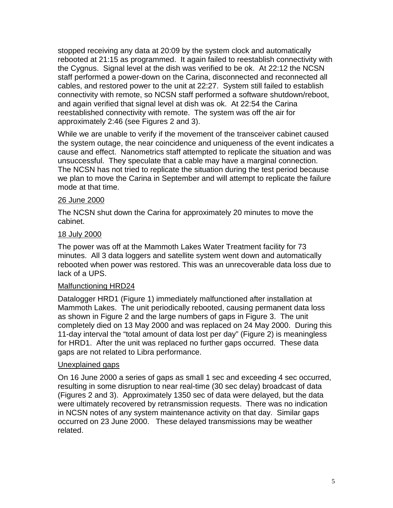stopped receiving any data at 20:09 by the system clock and automatically rebooted at 21:15 as programmed. It again failed to reestablish connectivity with the Cygnus. Signal level at the dish was verified to be ok. At 22:12 the NCSN staff performed a power-down on the Carina, disconnected and reconnected all cables, and restored power to the unit at 22:27. System still failed to establish connectivity with remote, so NCSN staff performed a software shutdown/reboot, and again verified that signal level at dish was ok. At 22:54 the Carina reestablished connectivity with remote. The system was off the air for approximately 2:46 (see Figures 2 and 3).

While we are unable to verify if the movement of the transceiver cabinet caused the system outage, the near coincidence and uniqueness of the event indicates a cause and effect. Nanometrics staff attempted to replicate the situation and was unsuccessful. They speculate that a cable may have a marginal connection. The NCSN has not tried to replicate the situation during the test period because we plan to move the Carina in September and will attempt to replicate the failure mode at that time.

#### 26 June 2000

The NCSN shut down the Carina for approximately 20 minutes to move the cabinet.

#### 18 July 2000

The power was off at the Mammoth Lakes Water Treatment facility for 73 minutes. All 3 data loggers and satellite system went down and automatically rebooted when power was restored. This was an unrecoverable data loss due to lack of a UPS.

#### Malfunctioning HRD24

Datalogger HRD1 (Figure 1) immediately malfunctioned after installation at Mammoth Lakes. The unit periodically rebooted, causing permanent data loss as shown in Figure 2 and the large numbers of gaps in Figure 3. The unit completely died on 13 May 2000 and was replaced on 24 May 2000. During this 11-day interval the "total amount of data lost per day" (Figure 2) is meaningless for HRD1. After the unit was replaced no further gaps occurred. These data gaps are not related to Libra performance.

#### Unexplained gaps

On 16 June 2000 a series of gaps as small 1 sec and exceeding 4 sec occurred, resulting in some disruption to near real-time (30 sec delay) broadcast of data (Figures 2 and 3). Approximately 1350 sec of data were delayed, but the data were ultimately recovered by retransmission requests. There was no indication in NCSN notes of any system maintenance activity on that day. Similar gaps occurred on 23 June 2000. These delayed transmissions may be weather related.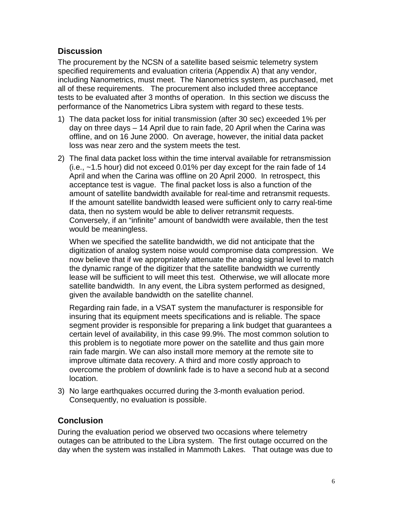## **Discussion**

The procurement by the NCSN of a satellite based seismic telemetry system specified requirements and evaluation criteria (Appendix A) that any vendor, including Nanometrics, must meet. The Nanometrics system, as purchased, met all of these requirements. The procurement also included three acceptance tests to be evaluated after 3 months of operation. In this section we discuss the performance of the Nanometrics Libra system with regard to these tests.

- 1) The data packet loss for initial transmission (after 30 sec) exceeded 1% per day on three days – 14 April due to rain fade, 20 April when the Carina was offline, and on 16 June 2000. On average, however, the initial data packet loss was near zero and the system meets the test.
- 2) The final data packet loss within the time interval available for retransmission (i.e., ~1.5 hour) did not exceed 0.01% per day except for the rain fade of 14 April and when the Carina was offline on 20 April 2000. In retrospect, this acceptance test is vague. The final packet loss is also a function of the amount of satellite bandwidth available for real-time and retransmit requests. If the amount satellite bandwidth leased were sufficient only to carry real-time data, then no system would be able to deliver retransmit requests. Conversely, if an "infinite" amount of bandwidth were available, then the test would be meaningless.

When we specified the satellite bandwidth, we did not anticipate that the digitization of analog system noise would compromise data compression. We now believe that if we appropriately attenuate the analog signal level to match the dynamic range of the digitizer that the satellite bandwidth we currently lease will be sufficient to will meet this test. Otherwise, we will allocate more satellite bandwidth. In any event, the Libra system performed as designed, given the available bandwidth on the satellite channel.

Regarding rain fade, in a VSAT system the manufacturer is responsible for insuring that its equipment meets specifications and is reliable. The space segment provider is responsible for preparing a link budget that guarantees a certain level of availability, in this case 99.9%. The most common solution to this problem is to negotiate more power on the satellite and thus gain more rain fade margin. We can also install more memory at the remote site to improve ultimate data recovery. A third and more costly approach to overcome the problem of downlink fade is to have a second hub at a second location.

3) No large earthquakes occurred during the 3-month evaluation period. Consequently, no evaluation is possible.

# **Conclusion**

During the evaluation period we observed two occasions where telemetry outages can be attributed to the Libra system. The first outage occurred on the day when the system was installed in Mammoth Lakes. That outage was due to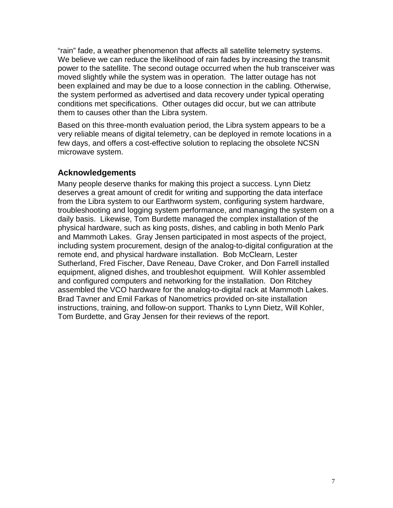"rain" fade, a weather phenomenon that affects all satellite telemetry systems. We believe we can reduce the likelihood of rain fades by increasing the transmit power to the satellite. The second outage occurred when the hub transceiver was moved slightly while the system was in operation. The latter outage has not been explained and may be due to a loose connection in the cabling. Otherwise, the system performed as advertised and data recovery under typical operating conditions met specifications. Other outages did occur, but we can attribute them to causes other than the Libra system.

Based on this three-month evaluation period, the Libra system appears to be a very reliable means of digital telemetry, can be deployed in remote locations in a few days, and offers a cost-effective solution to replacing the obsolete NCSN microwave system.

## **Acknowledgements**

Many people deserve thanks for making this project a success. Lynn Dietz deserves a great amount of credit for writing and supporting the data interface from the Libra system to our Earthworm system, configuring system hardware, troubleshooting and logging system performance, and managing the system on a daily basis. Likewise, Tom Burdette managed the complex installation of the physical hardware, such as king posts, dishes, and cabling in both Menlo Park and Mammoth Lakes. Gray Jensen participated in most aspects of the project, including system procurement, design of the analog-to-digital configuration at the remote end, and physical hardware installation. Bob McClearn, Lester Sutherland, Fred Fischer, Dave Reneau, Dave Croker, and Don Farrell installed equipment, aligned dishes, and troubleshot equipment. Will Kohler assembled and configured computers and networking for the installation. Don Ritchey assembled the VCO hardware for the analog-to-digital rack at Mammoth Lakes. Brad Tavner and Emil Farkas of Nanometrics provided on-site installation instructions, training, and follow-on support. Thanks to Lynn Dietz, Will Kohler, Tom Burdette, and Gray Jensen for their reviews of the report.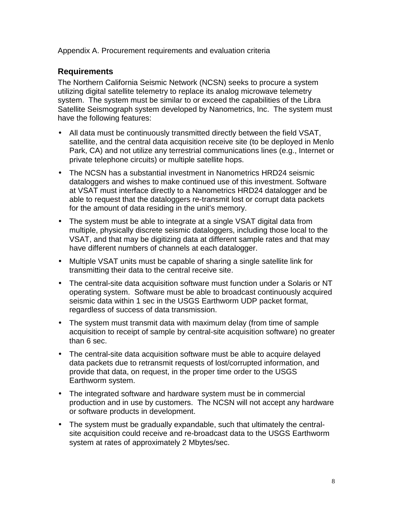Appendix A. Procurement requirements and evaluation criteria

# **Requirements**

The Northern California Seismic Network (NCSN) seeks to procure a system utilizing digital satellite telemetry to replace its analog microwave telemetry system. The system must be similar to or exceed the capabilities of the Libra Satellite Seismograph system developed by Nanometrics, Inc. The system must have the following features:

- All data must be continuously transmitted directly between the field VSAT, satellite, and the central data acquisition receive site (to be deployed in Menlo Park, CA) and not utilize any terrestrial communications lines (e.g., Internet or private telephone circuits) or multiple satellite hops.
- The NCSN has a substantial investment in Nanometrics HRD24 seismic dataloggers and wishes to make continued use of this investment. Software at VSAT must interface directly to a Nanometrics HRD24 datalogger and be able to request that the dataloggers re-transmit lost or corrupt data packets for the amount of data residing in the unit's memory.
- The system must be able to integrate at a single VSAT digital data from multiple, physically discrete seismic dataloggers, including those local to the VSAT, and that may be digitizing data at different sample rates and that may have different numbers of channels at each datalogger.
- Multiple VSAT units must be capable of sharing a single satellite link for transmitting their data to the central receive site.
- The central-site data acquisition software must function under a Solaris or NT operating system. Software must be able to broadcast continuously acquired seismic data within 1 sec in the USGS Earthworm UDP packet format, regardless of success of data transmission.
- The system must transmit data with maximum delay (from time of sample acquisition to receipt of sample by central-site acquisition software) no greater than 6 sec.
- The central-site data acquisition software must be able to acquire delayed data packets due to retransmit requests of lost/corrupted information, and provide that data, on request, in the proper time order to the USGS Earthworm system.
- The integrated software and hardware system must be in commercial production and in use by customers. The NCSN will not accept any hardware or software products in development.
- The system must be gradually expandable, such that ultimately the centralsite acquisition could receive and re-broadcast data to the USGS Earthworm system at rates of approximately 2 Mbytes/sec.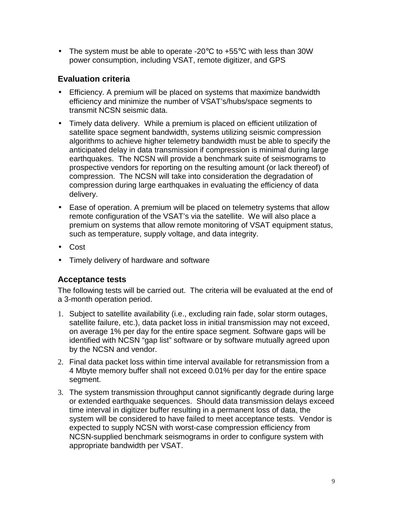• The system must be able to operate -20 $\degree$ C to +55 $\degree$ C with less than 30W power consumption, including VSAT, remote digitizer, and GPS

# **Evaluation criteria**

- Efficiency. A premium will be placed on systems that maximize bandwidth efficiency and minimize the number of VSAT's/hubs/space segments to transmit NCSN seismic data.
- Timely data delivery. While a premium is placed on efficient utilization of satellite space segment bandwidth, systems utilizing seismic compression algorithms to achieve higher telemetry bandwidth must be able to specify the anticipated delay in data transmission if compression is minimal during large earthquakes. The NCSN will provide a benchmark suite of seismograms to prospective vendors for reporting on the resulting amount (or lack thereof) of compression. The NCSN will take into consideration the degradation of compression during large earthquakes in evaluating the efficiency of data delivery.
- Ease of operation. A premium will be placed on telemetry systems that allow remote configuration of the VSAT's via the satellite. We will also place a premium on systems that allow remote monitoring of VSAT equipment status, such as temperature, supply voltage, and data integrity.
- Cost
- Timely delivery of hardware and software

# **Acceptance tests**

The following tests will be carried out. The criteria will be evaluated at the end of a 3-month operation period.

- 1. Subject to satellite availability (i.e., excluding rain fade, solar storm outages, satellite failure, etc.), data packet loss in initial transmission may not exceed, on average 1% per day for the entire space segment. Software gaps will be identified with NCSN "gap list" software or by software mutually agreed upon by the NCSN and vendor.
- 2. Final data packet loss within time interval available for retransmission from a 4 Mbyte memory buffer shall not exceed 0.01% per day for the entire space segment.
- 3. The system transmission throughput cannot significantly degrade during large or extended earthquake sequences. Should data transmission delays exceed time interval in digitizer buffer resulting in a permanent loss of data, the system will be considered to have failed to meet acceptance tests. Vendor is expected to supply NCSN with worst-case compression efficiency from NCSN-supplied benchmark seismograms in order to configure system with appropriate bandwidth per VSAT.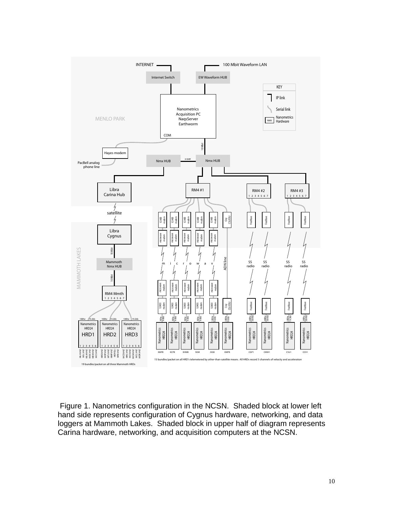

 Figure 1. Nanometrics configuration in the NCSN. Shaded block at lower left hand side represents configuration of Cygnus hardware, networking, and data loggers at Mammoth Lakes. Shaded block in upper half of diagram represents Carina hardware, networking, and acquisition computers at the NCSN.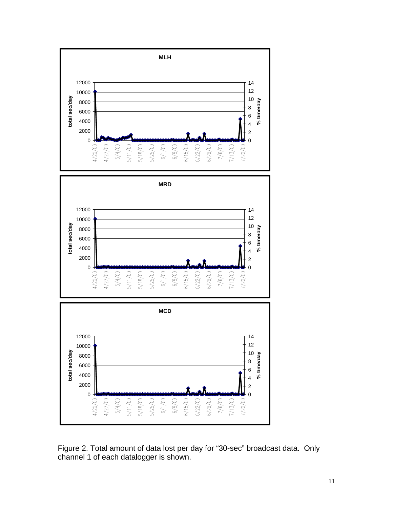

Figure 2. Total amount of data lost per day for "30-sec" broadcast data. Only channel 1 of each datalogger is shown.